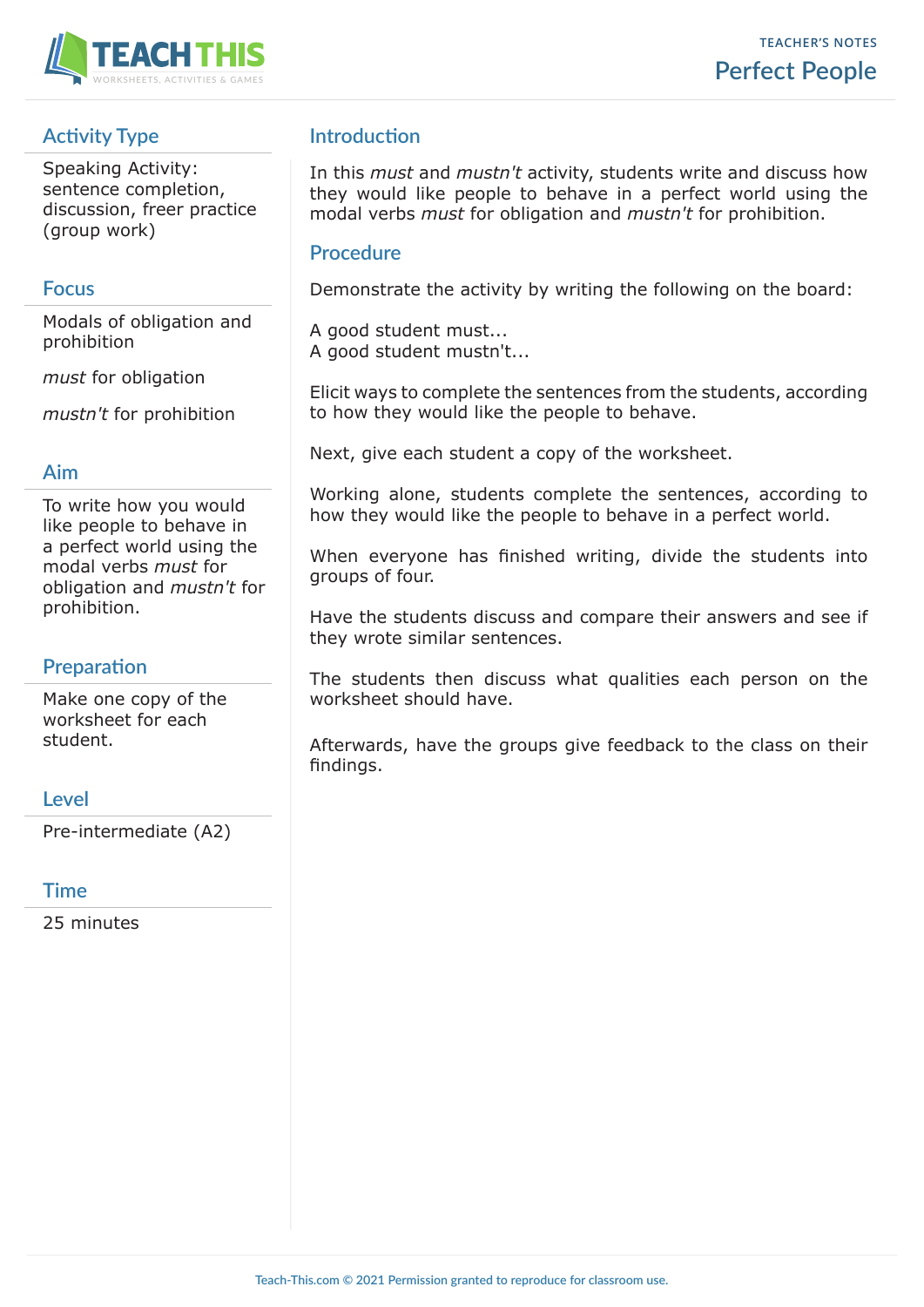

# **Activity Type**

Speaking Activity: sentence completion, discussion, freer practice (group work)

### **Focus**

Modals of obligation and prohibition

*must* for obligation

*mustn't* for prohibition

#### **Aim**

To write how you would like people to behave in a perfect world using the modal verbs *must* for obligation and *mustn't* for prohibition.

# **Preparation**

Make one copy of the worksheet for each student.

### **Level**

Pre-intermediate (A2)

#### **Time**

25 minutes

## **Introduction**

In this *must* and *mustn't* activity, students write and discuss how they would like people to behave in a perfect world using the modal verbs *must* for obligation and *mustn't* for prohibition.

### **Procedure**

Demonstrate the activity by writing the following on the board:

A good student must... A good student mustn't...

Elicit ways to complete the sentences from the students, according to how they would like the people to behave.

Next, give each student a copy of the worksheet.

Working alone, students complete the sentences, according to how they would like the people to behave in a perfect world.

When everyone has finished writing, divide the students into groups of four.

Have the students discuss and compare their answers and see if they wrote similar sentences.

The students then discuss what qualities each person on the worksheet should have.

Afterwards, have the groups give feedback to the class on their findings.